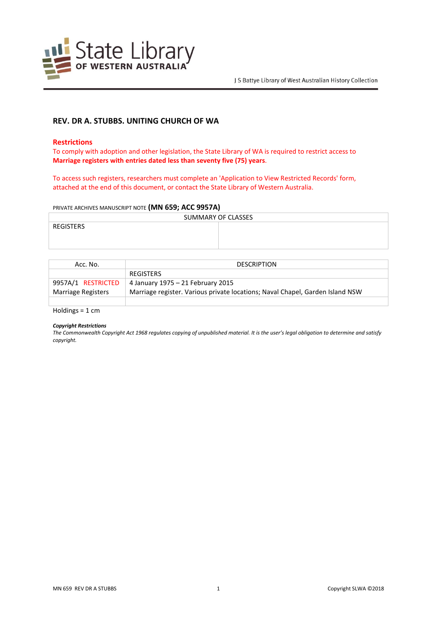

# **REV. DR A. STUBBS. UNITING CHURCH OF WA**

### **Restrictions**

To comply with adoption and other legislation, the State Library of WA is required to restrict access to **Marriage registers with entries dated less than seventy five (75) years**.

To access such registers, researchers must complete an 'Application to View Restricted Records' form, attached at the end of this document, or contact the State Library of Western Australia.

#### PRIVATE ARCHIVES MANUSCRIPT NOTE **(MN 659; ACC 9957A)**

| SUMMARY OF CLASSES |  |  |
|--------------------|--|--|
| REGISTERS          |  |  |
|                    |  |  |
|                    |  |  |

| Acc. No.           | <b>DESCRIPTION</b>                                                            |  |
|--------------------|-------------------------------------------------------------------------------|--|
|                    | <b>REGISTERS</b>                                                              |  |
| 9957A/1 RESTRICTED | 4 January 1975 – 21 February 2015                                             |  |
| Marriage Registers | Marriage register. Various private locations; Naval Chapel, Garden Island NSW |  |
|                    |                                                                               |  |

Holdings = 1 cm

#### *Copyright Restrictions*

*The Commonwealth Copyright Act 1968 regulates copying of unpublished material. It is the user's legal obligation to determine and satisfy copyright.*